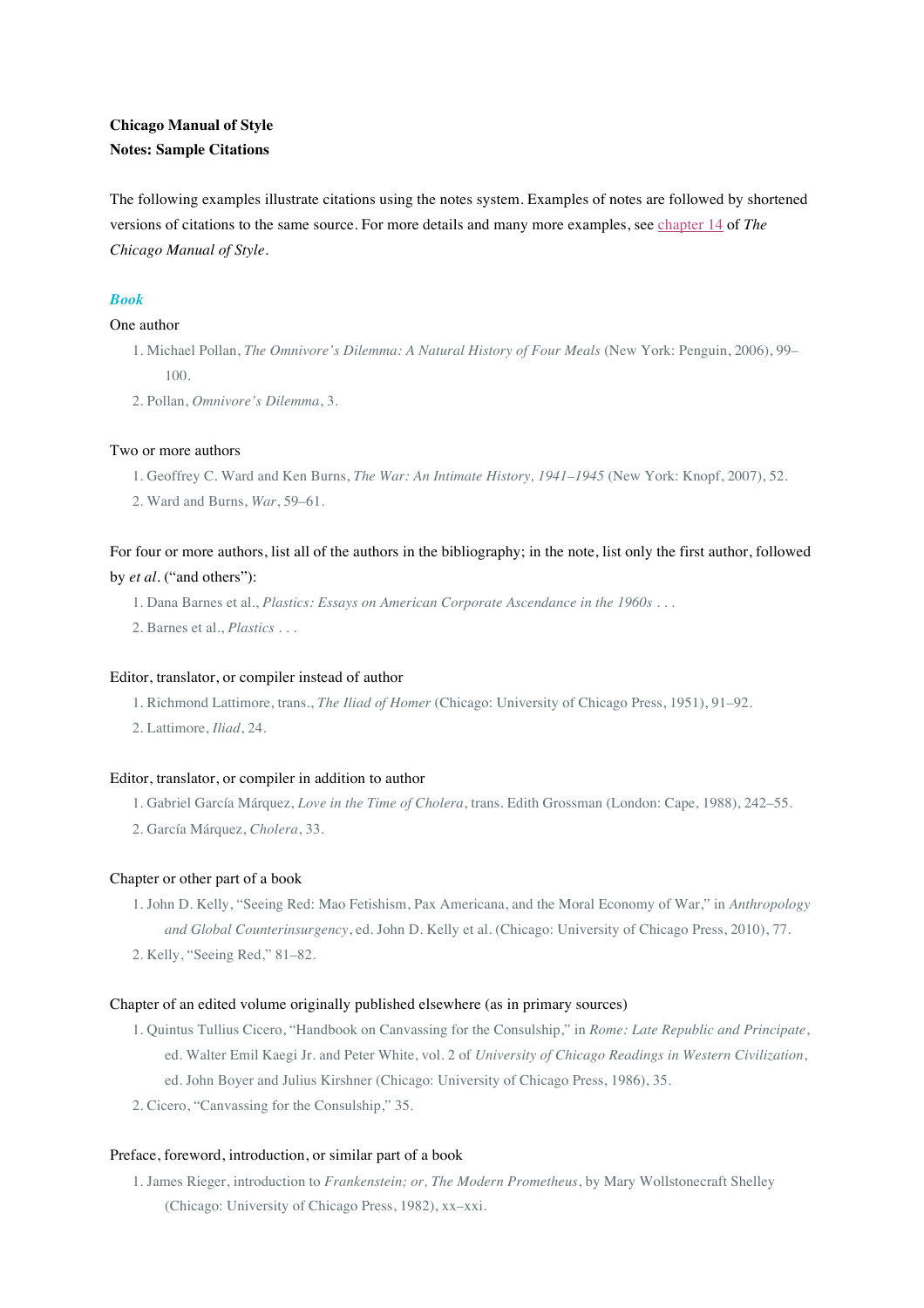# **Chicago Manual of Style Notes: Sample Citations**

The following examples illustrate citations using the notes system. Examples of notes are followed by shortened versions of citations to the same source. For more details and many more examples, see chapter 14 of *The Chicago Manual of Style*.

# *Book*

## One author

- 1. Michael Pollan, *The Omnivore's Dilemma: A Natural History of Four Meals* (New York: Penguin, 2006), 99– 100.
- 2. Pollan, *Omnivore's Dilemma*, 3.

## Two or more authors

- 1. Geoffrey C. Ward and Ken Burns, *The War: An Intimate History, 1941–1945* (New York: Knopf, 2007), 52.
- 2. Ward and Burns, *War*, 59–61.

# For four or more authors, list all of the authors in the bibliography; in the note, list only the first author, followed by *et al*. ("and others"):

- 1. Dana Barnes et al., *Plastics: Essays on American Corporate Ascendance in the 1960s* . . .
- 2. Barnes et al., *Plastics* . . .

### Editor, translator, or compiler instead of author

- 1. Richmond Lattimore, trans., *The Iliad of Homer* (Chicago: University of Chicago Press, 1951), 91–92.
- 2. Lattimore, *Iliad*, 24.

#### Editor, translator, or compiler in addition to author

- 1. Gabriel García Márquez, *Love in the Time of Cholera*, trans. Edith Grossman (London: Cape, 1988), 242–55.
- 2. García Márquez, *Cholera*, 33.

#### Chapter or other part of a book

- 1. John D. Kelly, "Seeing Red: Mao Fetishism, Pax Americana, and the Moral Economy of War," in *Anthropology and Global Counterinsurgency*, ed. John D. Kelly et al. (Chicago: University of Chicago Press, 2010), 77.
- 2. Kelly, "Seeing Red," 81–82.

#### Chapter of an edited volume originally published elsewhere (as in primary sources)

- 1. Quintus Tullius Cicero, "Handbook on Canvassing for the Consulship," in *Rome: Late Republic and Principate*, ed. Walter Emil Kaegi Jr. and Peter White, vol. 2 of *University of Chicago Readings in Western Civilization*, ed. John Boyer and Julius Kirshner (Chicago: University of Chicago Press, 1986), 35.
- 2. Cicero, "Canvassing for the Consulship," 35.

# Preface, foreword, introduction, or similar part of a book

1. James Rieger, introduction to *Frankenstein; or, The Modern Prometheus*, by Mary Wollstonecraft Shelley (Chicago: University of Chicago Press, 1982), xx–xxi.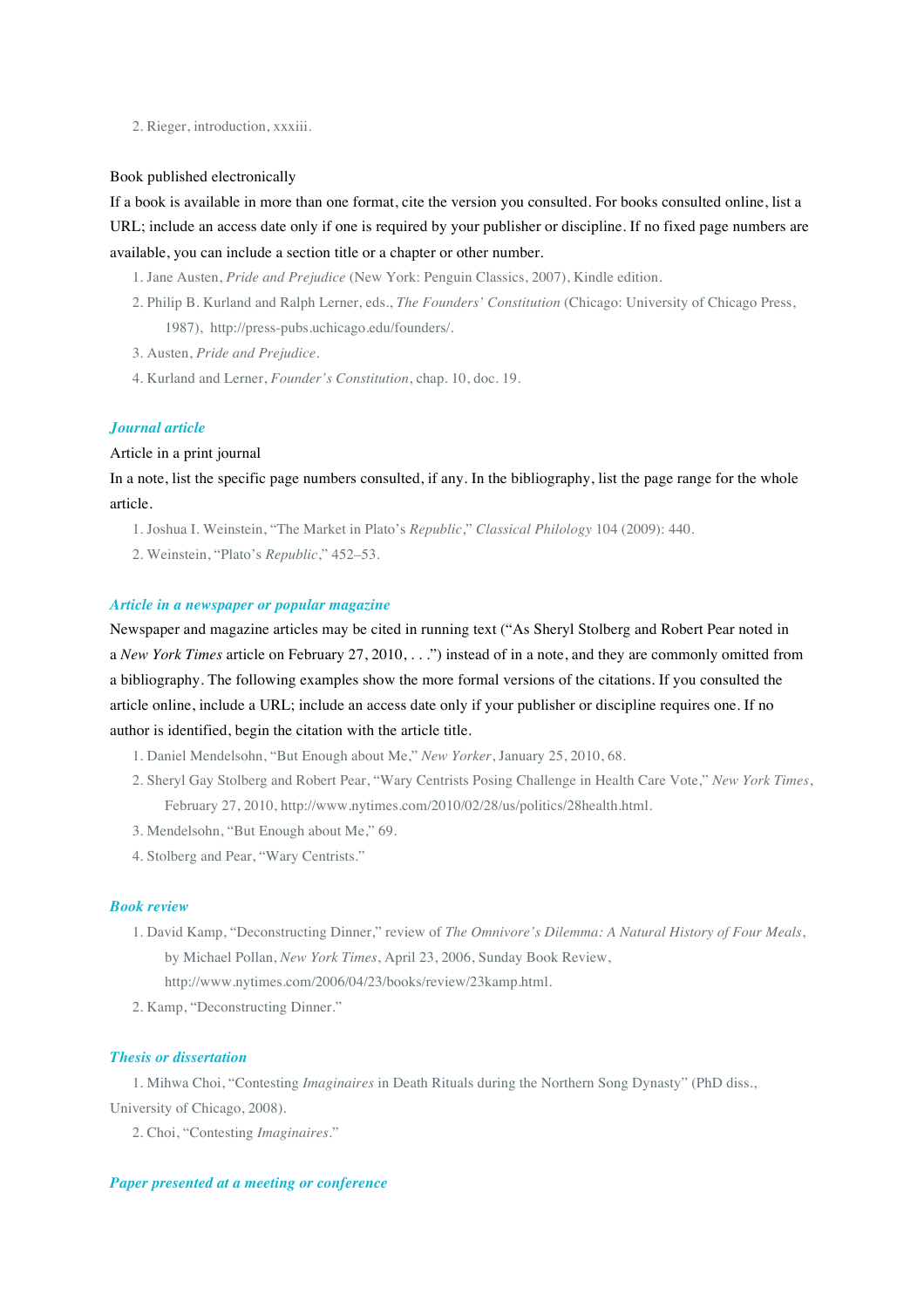2. Rieger, introduction, xxxiii.

#### Book published electronically

If a book is available in more than one format, cite the version you consulted. For books consulted online, list a URL; include an access date only if one is required by your publisher or discipline. If no fixed page numbers are available, you can include a section title or a chapter or other number.

- 1. Jane Austen, *Pride and Prejudice* (New York: Penguin Classics, 2007), Kindle edition.
- 2. Philip B. Kurland and Ralph Lerner, eds., *The Founders' Constitution* (Chicago: University of Chicago Press, 1987), http://press-pubs.uchicago.edu/founders/.
- 3. Austen, *Pride and Prejudice*.
- 4. Kurland and Lerner, *Founder's Constitution*, chap. 10, doc. 19.

# *Journal article*

## Article in a print journal

In a note, list the specific page numbers consulted, if any. In the bibliography, list the page range for the whole article.

- 1. Joshua I. Weinstein, "The Market in Plato's *Republic*," *Classical Philology* 104 (2009): 440.
- 2. Weinstein, "Plato's *Republic*," 452–53.

#### *Article in a newspaper or popular magazine*

Newspaper and magazine articles may be cited in running text ("As Sheryl Stolberg and Robert Pear noted in a *New York Times* article on February 27, 2010, . . .") instead of in a note, and they are commonly omitted from a bibliography. The following examples show the more formal versions of the citations. If you consulted the article online, include a URL; include an access date only if your publisher or discipline requires one. If no author is identified, begin the citation with the article title.

- 1. Daniel Mendelsohn, "But Enough about Me," *New Yorker*, January 25, 2010, 68.
- 2. Sheryl Gay Stolberg and Robert Pear, "Wary Centrists Posing Challenge in Health Care Vote," *New York Times*, February 27, 2010, http://www.nytimes.com/2010/02/28/us/politics/28health.html.
- 3. Mendelsohn, "But Enough about Me," 69.
- 4. Stolberg and Pear, "Wary Centrists."

## *Book review*

- 1. David Kamp, "Deconstructing Dinner," review of *The Omnivore's Dilemma: A Natural History of Four Meals*, by Michael Pollan, *New York Times*, April 23, 2006, Sunday Book Review, http://www.nytimes.com/2006/04/23/books/review/23kamp.html.
- 2. Kamp, "Deconstructing Dinner."

## *Thesis or dissertation*

1. Mihwa Choi, "Contesting *Imaginaires* in Death Rituals during the Northern Song Dynasty" (PhD diss., University of Chicago, 2008).

2. Choi, "Contesting *Imaginaires*."

## *Paper presented at a meeting or conference*